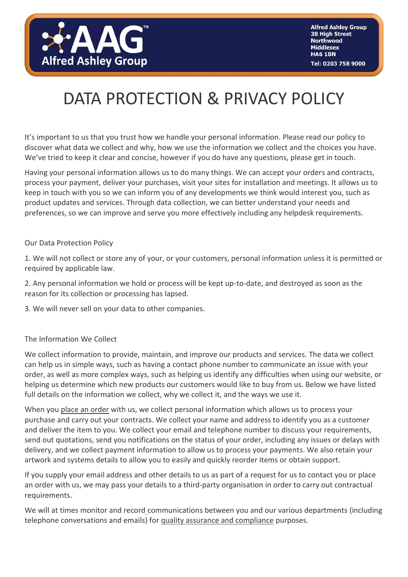

# DATA PROTECTION & PRIVACY POLICY

It's important to us that you trust how we handle your personal information. Please read our policy to discover what data we collect and why, how we use the information we collect and the choices you have. We've tried to keep it clear and concise, however if you do have any questions, please get in touch.

Having your personal information allows us to do many things. We can accept your orders and contracts, process your payment, deliver your purchases, visit your sites for installation and meetings. It allows us to keep in touch with you so we can inform you of any developments we think would interest you, such as product updates and services. Through data collection, we can better understand your needs and preferences, so we can improve and serve you more effectively including any helpdesk requirements.

Our Data Protection Policy

1. We will not collect or store any of your, or your customers, personal information unless it is permitted or required by applicable law.

2. Any personal information we hold or process will be kept up-to-date, and destroyed as soon as the reason for its collection or processing has lapsed.

3. We will never sell on your data to other companies.

# The Information We Collect

We collect information to provide, maintain, and improve our products and services. The data we collect can help us in simple ways, such as having a contact phone number to communicate an issue with your order, as well as more complex ways, such as helping us identify any difficulties when using our website, or helping us determine which new products our customers would like to buy from us. Below we have listed full details on the information we collect, why we collect it, and the ways we use it.

When you place an order with us, we collect personal information which allows us to process your purchase and carry out your contracts. We collect your name and address to identify you as a customer and deliver the item to you. We collect your email and telephone number to discuss your requirements, send out quotations, send you notifications on the status of your order, including any issues or delays with delivery, and we collect payment information to allow us to process your payments. We also retain your artwork and systems details to allow you to easily and quickly reorder items or obtain support.

If you supply your email address and other details to us as part of a request for us to contact you or place an order with us, we may pass your details to a third-party organisation in order to carry out contractual requirements.

We will at times monitor and record communications between you and our various departments (including telephone conversations and emails) for quality assurance and compliance purposes.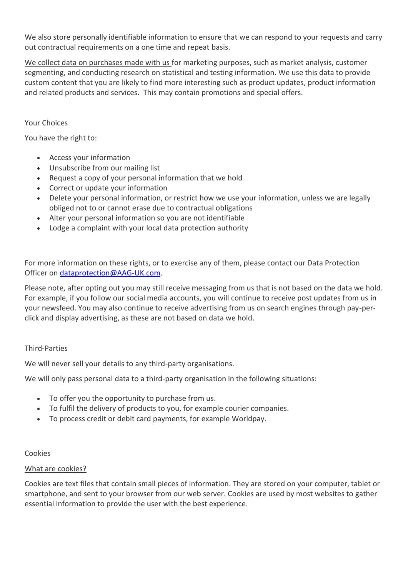We also store personally identifiable information to ensure that we can respond to your requests and carry out contractual requirements on a one time and repeat basis.

We collect data on purchases made with us for marketing purposes, such as market analysis, customer segmenting, and conducting research on statistical and testing information. We use this data to provide custom content that you are likely to find more interesting such as product updates, product information and related products and services. This may contain promotions and special offers.

## Your Choices

You have the right to:

- Access your information
- Unsubscribe from our mailing list
- Request a copy of your personal information that we hold
- Correct or update your information
- Delete your personal information, or restrict how we use your information, unless we are legally obliged not to or cannot erase due to contractual obligations
- Alter your personal information so you are not identifiable
- Lodge a complaint with your local data protection authority

For more information on these rights, or to exercise any of them, please contact our Data Protection Officer on [dataprotection@AAG-UK.com.](mailto:dataprotection@AAG-UK.com)

Please note, after opting out you may still receive messaging from us that is not based on the data we hold. For example, if you follow our social media accounts, you will continue to receive post updates from us in your newsfeed. You may also continue to receive advertising from us on search engines through pay-perclick and display advertising, as these are not based on data we hold.

#### Third-Parties

We will never sell your details to any third-party organisations.

We will only pass personal data to a third-party organisation in the following situations:

- To offer you the opportunity to purchase from us.
- To fulfil the delivery of products to you, for example courier companies.
- To process credit or debit card payments, for example Worldpay.

#### Cookies

#### What are cookies?

Cookies are text files that contain small pieces of information. They are stored on your computer, tablet or smartphone, and sent to your browser from our web server. Cookies are used by most websites to gather essential information to provide the user with the best experience.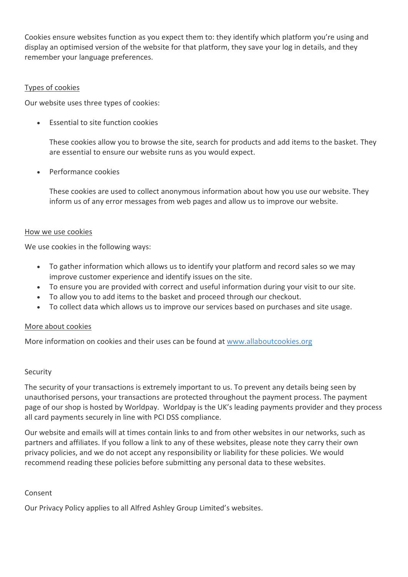Cookies ensure websites function as you expect them to: they identify which platform you're using and display an optimised version of the website for that platform, they save your log in details, and they remember your language preferences.

## Types of cookies

Our website uses three types of cookies:

• Essential to site function cookies

These cookies allow you to browse the site, search for products and add items to the basket. They are essential to ensure our website runs as you would expect.

• Performance cookies

These cookies are used to collect anonymous information about how you use our website. They inform us of any error messages from web pages and allow us to improve our website.

#### How we use cookies

We use cookies in the following ways:

- To gather information which allows us to identify your platform and record sales so we may improve customer experience and identify issues on the site.
- To ensure you are provided with correct and useful information during your visit to our site.
- To allow you to add items to the basket and proceed through our checkout.
- To collect data which allows us to improve our services based on purchases and site usage.

#### More about cookies

More information on cookies and their uses can be found at [www.allaboutcookies.org](http://www.allaboutcookies.org/)

#### Security

The security of your transactions is extremely important to us. To prevent any details being seen by unauthorised persons, your transactions are protected throughout the payment process. The payment page of our shop is hosted by Worldpay. Worldpay is the UK's leading payments provider and they process all card payments securely in line with PCI DSS compliance.

Our website and emails will at times contain links to and from other websites in our networks, such as partners and affiliates. If you follow a link to any of these websites, please note they carry their own privacy policies, and we do not accept any responsibility or liability for these policies. We would recommend reading these policies before submitting any personal data to these websites.

#### Consent

Our Privacy Policy applies to all Alfred Ashley Group Limited's websites.